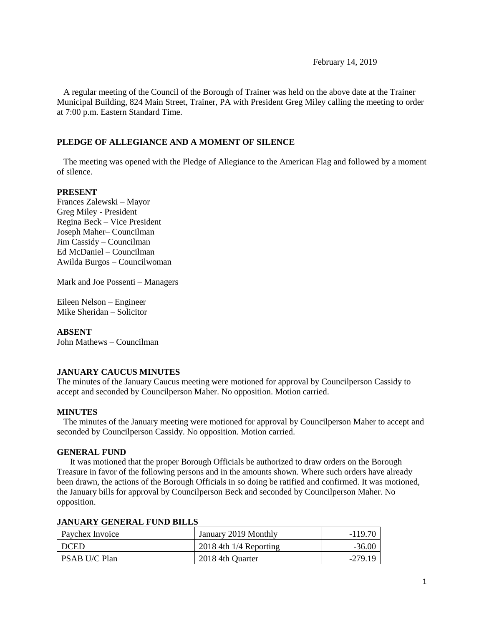February 14, 2019

 A regular meeting of the Council of the Borough of Trainer was held on the above date at the Trainer Municipal Building, 824 Main Street, Trainer, PA with President Greg Miley calling the meeting to order at 7:00 p.m. Eastern Standard Time.

### **PLEDGE OF ALLEGIANCE AND A MOMENT OF SILENCE**

 The meeting was opened with the Pledge of Allegiance to the American Flag and followed by a moment of silence.

#### **PRESENT**

Frances Zalewski – Mayor Greg Miley - President Regina Beck – Vice President Joseph Maher– Councilman Jim Cassidy – Councilman Ed McDaniel – Councilman Awilda Burgos – Councilwoman

Mark and Joe Possenti – Managers

Eileen Nelson – Engineer Mike Sheridan – Solicitor

#### **ABSENT**

John Mathews – Councilman

### **JANUARY CAUCUS MINUTES**

The minutes of the January Caucus meeting were motioned for approval by Councilperson Cassidy to accept and seconded by Councilperson Maher. No opposition. Motion carried.

#### **MINUTES**

The minutes of the January meeting were motioned for approval by Councilperson Maher to accept and seconded by Councilperson Cassidy. No opposition. Motion carried.

#### **GENERAL FUND**

 It was motioned that the proper Borough Officials be authorized to draw orders on the Borough Treasure in favor of the following persons and in the amounts shown. Where such orders have already been drawn, the actions of the Borough Officials in so doing be ratified and confirmed. It was motioned, the January bills for approval by Councilperson Beck and seconded by Councilperson Maher. No opposition.

| Paychex Invoice | January 2019 Monthly       | $-119.70$ |
|-----------------|----------------------------|-----------|
| <b>DCED</b>     | $2018$ 4th $1/4$ Reporting | $-36.00$  |
| PSAB U/C Plan   | 2018 4th Quarter           | $-279.19$ |

#### **JANUARY GENERAL FUND BILLS**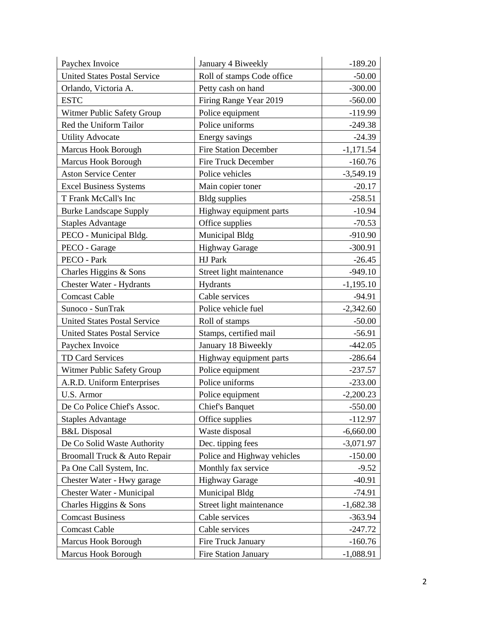| Paychex Invoice                     | January 4 Biweekly           | $-189.20$   |
|-------------------------------------|------------------------------|-------------|
| <b>United States Postal Service</b> | Roll of stamps Code office   | $-50.00$    |
| Orlando, Victoria A.                | Petty cash on hand           | $-300.00$   |
| <b>ESTC</b>                         | Firing Range Year 2019       | $-560.00$   |
| Witmer Public Safety Group          | Police equipment             | $-119.99$   |
| Red the Uniform Tailor              | Police uniforms              | $-249.38$   |
| <b>Utility Advocate</b>             | Energy savings               | $-24.39$    |
| Marcus Hook Borough                 | <b>Fire Station December</b> | $-1,171.54$ |
| <b>Marcus Hook Borough</b>          | Fire Truck December          | $-160.76$   |
| <b>Aston Service Center</b>         | Police vehicles              | $-3,549.19$ |
| <b>Excel Business Systems</b>       | Main copier toner            | $-20.17$    |
| T Frank McCall's Inc                | <b>Bldg</b> supplies         | $-258.51$   |
| <b>Burke Landscape Supply</b>       | Highway equipment parts      | $-10.94$    |
| <b>Staples Advantage</b>            | Office supplies              | $-70.53$    |
| PECO - Municipal Bldg.              | Municipal Bldg               | $-910.90$   |
| PECO - Garage                       | <b>Highway Garage</b>        | $-300.91$   |
| PECO - Park                         | HJ Park                      | $-26.45$    |
| Charles Higgins & Sons              | Street light maintenance     | $-949.10$   |
| <b>Chester Water - Hydrants</b>     | Hydrants                     | $-1,195.10$ |
| <b>Comcast Cable</b>                | Cable services               | $-94.91$    |
| Sunoco - SunTrak                    | Police vehicle fuel          | $-2,342.60$ |
| <b>United States Postal Service</b> | Roll of stamps               | $-50.00$    |
| <b>United States Postal Service</b> | Stamps, certified mail       | $-56.91$    |
| Paychex Invoice                     | January 18 Biweekly          | $-442.05$   |
| TD Card Services                    | Highway equipment parts      | $-286.64$   |
| Witmer Public Safety Group          | Police equipment             | $-237.57$   |
| A.R.D. Uniform Enterprises          | Police uniforms              | $-233.00$   |
| <b>U.S. Armor</b>                   | Police equipment             | $-2,200.23$ |
| De Co Police Chief's Assoc.         | <b>Chief's Banquet</b>       | $-550.00$   |
| <b>Staples Advantage</b>            | Office supplies              | $-112.97$   |
| <b>B&amp;L</b> Disposal             | Waste disposal               | $-6,660.00$ |
| De Co Solid Waste Authority         | Dec. tipping fees            | $-3,071.97$ |
| Broomall Truck & Auto Repair        | Police and Highway vehicles  | $-150.00$   |
| Pa One Call System, Inc.            | Monthly fax service          | $-9.52$     |
| Chester Water - Hwy garage          | <b>Highway Garage</b>        | $-40.91$    |
| Chester Water - Municipal           | Municipal Bldg               | $-74.91$    |
| Charles Higgins & Sons              | Street light maintenance     | $-1,682.38$ |
| <b>Comcast Business</b>             | Cable services               | $-363.94$   |
| <b>Comcast Cable</b>                | Cable services               | $-247.72$   |
| <b>Marcus Hook Borough</b>          | Fire Truck January           | $-160.76$   |
| Marcus Hook Borough                 | Fire Station January         | $-1,088.91$ |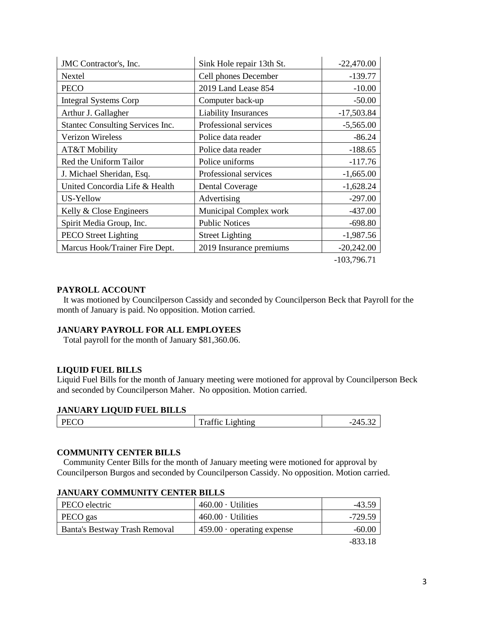| JMC Contractor's, Inc.           | Sink Hole repair 13th St.   | $-22,470.00$ |
|----------------------------------|-----------------------------|--------------|
| Nextel                           | Cell phones December        | $-139.77$    |
| <b>PECO</b>                      | 2019 Land Lease 854         | $-10.00$     |
| <b>Integral Systems Corp</b>     | Computer back-up            | $-50.00$     |
| Arthur J. Gallagher              | <b>Liability Insurances</b> | $-17,503.84$ |
| Stantec Consulting Services Inc. | Professional services       | $-5,565.00$  |
| <b>Verizon Wireless</b>          | Police data reader          | $-86.24$     |
| AT&T Mobility                    | Police data reader          | $-188.65$    |
| Red the Uniform Tailor           | Police uniforms             | $-117.76$    |
| J. Michael Sheridan, Esq.        | Professional services       | $-1,665.00$  |
| United Concordia Life & Health   | <b>Dental Coverage</b>      | $-1,628.24$  |
| US-Yellow                        | Advertising                 | $-297.00$    |
| Kelly & Close Engineers          | Municipal Complex work      | $-437.00$    |
| Spirit Media Group, Inc.         | <b>Public Notices</b>       | $-698.80$    |
| <b>PECO</b> Street Lighting      | <b>Street Lighting</b>      | $-1,987.56$  |
| Marcus Hook/Trainer Fire Dept.   | 2019 Insurance premiums     | $-20,242.00$ |
|                                  |                             |              |

-103,796.71

#### **PAYROLL ACCOUNT**

 It was motioned by Councilperson Cassidy and seconded by Councilperson Beck that Payroll for the month of January is paid. No opposition. Motion carried.

### **JANUARY PAYROLL FOR ALL EMPLOYEES**

Total payroll for the month of January \$81,360.06.

### **LIQUID FUEL BILLS**

Liquid Fuel Bills for the month of January meeting were motioned for approval by Councilperson Beck and seconded by Councilperson Maher. No opposition. Motion carried.

#### **JANUARY LIQUID FUEL BILLS**

| DECO<br>120 | $\sim$<br>ᅲ<br>_1ght1n9_<br>ғат<br>. | .15<br>-<br>. TJ.J <i>e</i> |
|-------------|--------------------------------------|-----------------------------|
|             |                                      |                             |

### **COMMUNITY CENTER BILLS**

 Community Center Bills for the month of January meeting were motioned for approval by Councilperson Burgos and seconded by Councilperson Cassidy. No opposition. Motion carried.

| PECO electric                 | $460.00 \cdot$ Utilities         | -43.59   |
|-------------------------------|----------------------------------|----------|
| PECO gas                      | $460.00 \cdot$ Utilities         | -729.59  |
| Banta's Bestway Trash Removal | $459.00 \cdot$ operating expense | $-60.00$ |
|                               |                                  | 02210    |

#### **JANUARY COMMUNITY CENTER BILLS**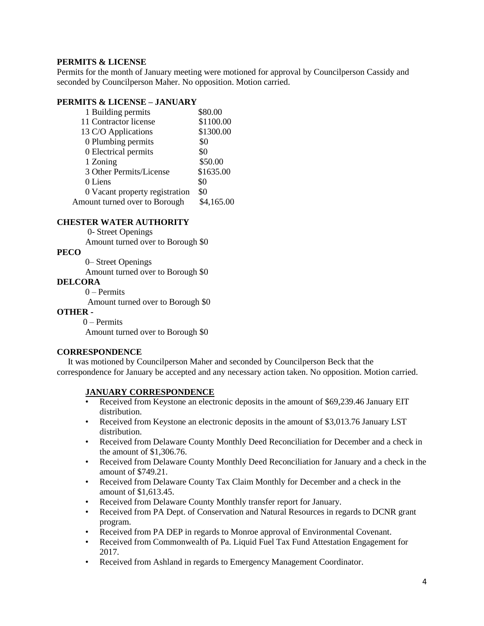### **PERMITS & LICENSE**

Permits for the month of January meeting were motioned for approval by Councilperson Cassidy and seconded by Councilperson Maher. No opposition. Motion carried.

### **PERMITS & LICENSE – JANUARY**

| 1 Building permits             | \$80.00    |
|--------------------------------|------------|
| 11 Contractor license          | \$1100.00  |
| 13 C/O Applications            | \$1300.00  |
| 0 Plumbing permits             | \$0        |
| 0 Electrical permits           | \$0        |
| 1 Zoning                       | \$50.00    |
| 3 Other Permits/License        | \$1635.00  |
| 0 Liens                        | \$0        |
| 0 Vacant property registration | \$0        |
| Amount turned over to Borough  | \$4,165.00 |

#### **CHESTER WATER AUTHORITY**

0- Street Openings Amount turned over to Borough \$0

**PECO**

0– Street Openings

Amount turned over to Borough \$0

#### **DELCORA**

0 – Permits

Amount turned over to Borough \$0

**OTHER -**

0 – Permits Amount turned over to Borough \$0

### **CORRESPONDENCE**

 It was motioned by Councilperson Maher and seconded by Councilperson Beck that the correspondence for January be accepted and any necessary action taken. No opposition. Motion carried.

### **JANUARY CORRESPONDENCE**

- Received from Keystone an electronic deposits in the amount of \$69,239.46 January EIT distribution.
- Received from Keystone an electronic deposits in the amount of \$3,013.76 January LST distribution.
- Received from Delaware County Monthly Deed Reconciliation for December and a check in the amount of \$1,306.76.
- Received from Delaware County Monthly Deed Reconciliation for January and a check in the amount of \$749.21.
- Received from Delaware County Tax Claim Monthly for December and a check in the amount of \$1,613.45.
- Received from Delaware County Monthly transfer report for January.
- Received from PA Dept. of Conservation and Natural Resources in regards to DCNR grant program.
- Received from PA DEP in regards to Monroe approval of Environmental Covenant.
- Received from Commonwealth of Pa. Liquid Fuel Tax Fund Attestation Engagement for 2017.
- Received from Ashland in regards to Emergency Management Coordinator.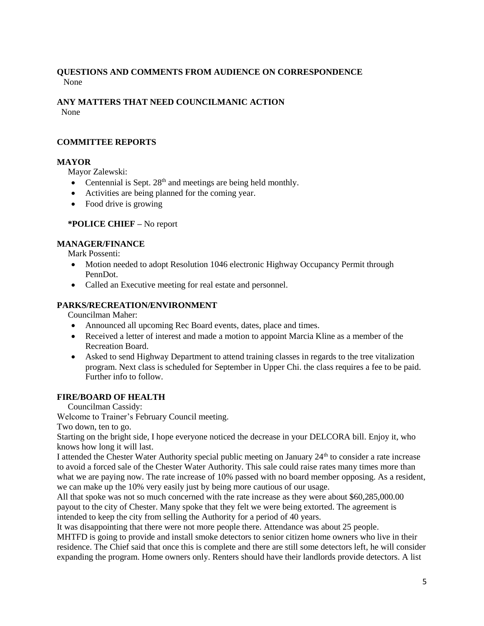## **QUESTIONS AND COMMENTS FROM AUDIENCE ON CORRESPONDENCE** None

# **ANY MATTERS THAT NEED COUNCILMANIC ACTION**

None

# **COMMITTEE REPORTS**

# **MAYOR**

Mayor Zalewski:

- Centennial is Sept. 28<sup>th</sup> and meetings are being held monthly.
- Activities are being planned for the coming year.
- Food drive is growing

# **\*POLICE CHIEF –** No report

# **MANAGER/FINANCE**

Mark Possenti:

- Motion needed to adopt Resolution 1046 electronic Highway Occupancy Permit through PennDot.
- Called an Executive meeting for real estate and personnel.

# **PARKS/RECREATION/ENVIRONMENT**

Councilman Maher:

- Announced all upcoming Rec Board events, dates, place and times.
- Received a letter of interest and made a motion to appoint Marcia Kline as a member of the Recreation Board.
- Asked to send Highway Department to attend training classes in regards to the tree vitalization program. Next class is scheduled for September in Upper Chi. the class requires a fee to be paid. Further info to follow.

# **FIRE/BOARD OF HEALTH**

Councilman Cassidy:

Welcome to Trainer's February Council meeting.

Two down, ten to go.

Starting on the bright side, I hope everyone noticed the decrease in your DELCORA bill. Enjoy it, who knows how long it will last.

I attended the Chester Water Authority special public meeting on January 24<sup>th</sup> to consider a rate increase to avoid a forced sale of the Chester Water Authority. This sale could raise rates many times more than what we are paying now. The rate increase of 10% passed with no board member opposing. As a resident, we can make up the 10% very easily just by being more cautious of our usage.

All that spoke was not so much concerned with the rate increase as they were about \$60,285,000.00 payout to the city of Chester. Many spoke that they felt we were being extorted. The agreement is intended to keep the city from selling the Authority for a period of 40 years.

It was disappointing that there were not more people there. Attendance was about 25 people.

MHTFD is going to provide and install smoke detectors to senior citizen home owners who live in their residence. The Chief said that once this is complete and there are still some detectors left, he will consider expanding the program. Home owners only. Renters should have their landlords provide detectors. A list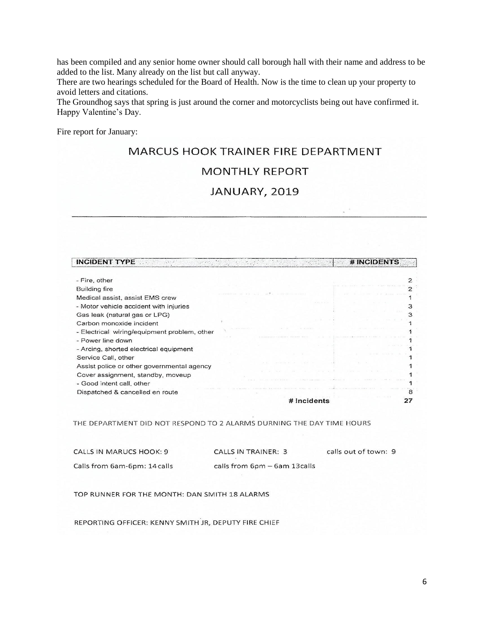has been compiled and any senior home owner should call borough hall with their name and address to be added to the list. Many already on the list but call anyway.

There are two hearings scheduled for the Board of Health. Now is the time to clean up your property to avoid letters and citations.

The Groundhog says that spring is just around the corner and motorcyclists being out have confirmed it. Happy Valentine's Day.

Fire report for January:

# MARCUS HOOK TRAINER FIRE DEPARTMENT

# MONTHLY REPORT

# JANUARY, 2019

| <b>INCIDENT TYPE</b>                         |               | # INCIDENTS |
|----------------------------------------------|---------------|-------------|
| - Fire, other                                |               |             |
| Building fire                                |               |             |
| Medical assist, assist EMS crew              |               |             |
| - Motor vehicle accident with injuries       |               |             |
| Gas leak (natural gas or LPG)                |               |             |
| Carbon monoxide incident                     |               |             |
| - Electrical wiring/equipment problem, other |               |             |
| - Power line down                            |               |             |
| - Arcing, shorted electrical equipment       |               |             |
| Service Call, other                          |               |             |
| Assist police or other governmental agency   |               |             |
| Cover assignment, standby, moveup            |               |             |
| - Good intent call, other                    |               |             |
| Dispatched & cancelled en route              |               |             |
|                                              | $#$ incidents |             |

THE DEPARTMENT DID NOT RESPOND TO 2 ALARMS DURNING THE DAY TIME HOURS

| CALLS IN MARUCS HOOK: 9      | CALLS IN TRAINER: 3          | calls out of town: 9 |
|------------------------------|------------------------------|----------------------|
| Calls from 6am-6pm: 14 calls | calls from 6pm – 6am 13calls |                      |

TOP RUNNER FOR THE MONTH: DAN SMITH 18 ALARMS

REPORTING OFFICER: KENNY SMITH JR, DEPUTY FIRE CHIEF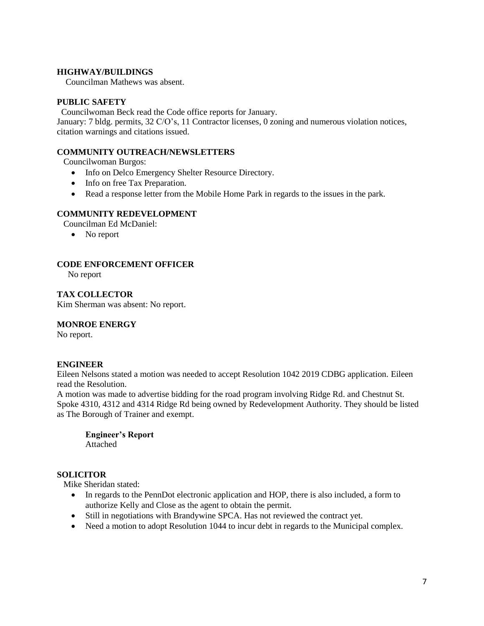### **HIGHWAY/BUILDINGS**

Councilman Mathews was absent.

### **PUBLIC SAFETY**

Councilwoman Beck read the Code office reports for January.

January: 7 bldg. permits, 32 C/O's, 11 Contractor licenses, 0 zoning and numerous violation notices, citation warnings and citations issued.

### **COMMUNITY OUTREACH/NEWSLETTERS**

Councilwoman Burgos:

- Info on Delco Emergency Shelter Resource Directory.
- Info on free Tax Preparation.
- Read a response letter from the Mobile Home Park in regards to the issues in the park.

### **COMMUNITY REDEVELOPMENT**

Councilman Ed McDaniel:

• No report

### **CODE ENFORCEMENT OFFICER**

No report

**TAX COLLECTOR** Kim Sherman was absent: No report.

### **MONROE ENERGY**

No report.

### **ENGINEER**

Eileen Nelsons stated a motion was needed to accept Resolution 1042 2019 CDBG application. Eileen read the Resolution.

A motion was made to advertise bidding for the road program involving Ridge Rd. and Chestnut St. Spoke 4310, 4312 and 4314 Ridge Rd being owned by Redevelopment Authority. They should be listed as The Borough of Trainer and exempt.

**Engineer's Report** Attached

# **SOLICITOR**

Mike Sheridan stated:

- In regards to the PennDot electronic application and HOP, there is also included, a form to authorize Kelly and Close as the agent to obtain the permit.
- Still in negotiations with Brandywine SPCA. Has not reviewed the contract yet.
- Need a motion to adopt Resolution 1044 to incur debt in regards to the Municipal complex.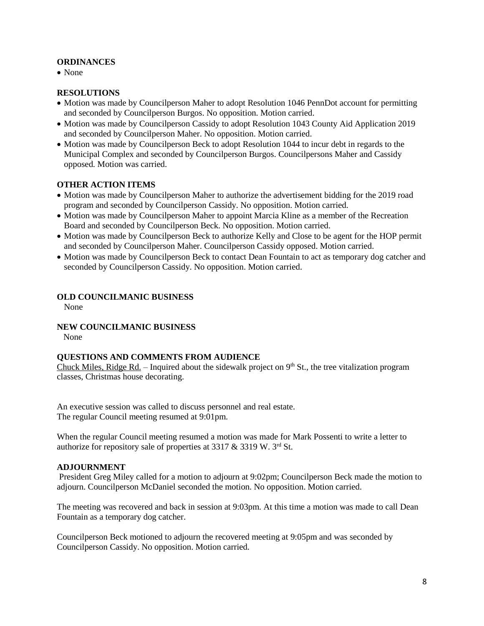### **ORDINANCES**

• None

#### **RESOLUTIONS**

- Motion was made by Councilperson Maher to adopt Resolution 1046 PennDot account for permitting and seconded by Councilperson Burgos. No opposition. Motion carried.
- Motion was made by Councilperson Cassidy to adopt Resolution 1043 County Aid Application 2019 and seconded by Councilperson Maher. No opposition. Motion carried.
- Motion was made by Councilperson Beck to adopt Resolution 1044 to incur debt in regards to the Municipal Complex and seconded by Councilperson Burgos. Councilpersons Maher and Cassidy opposed. Motion was carried.

### **OTHER ACTION ITEMS**

- Motion was made by Councilperson Maher to authorize the advertisement bidding for the 2019 road program and seconded by Councilperson Cassidy. No opposition. Motion carried.
- Motion was made by Councilperson Maher to appoint Marcia Kline as a member of the Recreation Board and seconded by Councilperson Beck. No opposition. Motion carried.
- Motion was made by Councilperson Beck to authorize Kelly and Close to be agent for the HOP permit and seconded by Councilperson Maher. Councilperson Cassidy opposed. Motion carried.
- Motion was made by Councilperson Beck to contact Dean Fountain to act as temporary dog catcher and seconded by Councilperson Cassidy. No opposition. Motion carried.

### **OLD COUNCILMANIC BUSINESS**

None

### **NEW COUNCILMANIC BUSINESS**

None

### **QUESTIONS AND COMMENTS FROM AUDIENCE**

Chuck Miles, Ridge Rd. – Inquired about the sidewalk project on  $9<sup>th</sup>$  St., the tree vitalization program classes, Christmas house decorating.

An executive session was called to discuss personnel and real estate. The regular Council meeting resumed at 9:01pm.

When the regular Council meeting resumed a motion was made for Mark Possenti to write a letter to authorize for repository sale of properties at 3317 & 3319 W. 3rd St.

#### **ADJOURNMENT**

President Greg Miley called for a motion to adjourn at 9:02pm; Councilperson Beck made the motion to adjourn. Councilperson McDaniel seconded the motion. No opposition. Motion carried.

The meeting was recovered and back in session at 9:03pm. At this time a motion was made to call Dean Fountain as a temporary dog catcher.

Councilperson Beck motioned to adjourn the recovered meeting at 9:05pm and was seconded by Councilperson Cassidy. No opposition. Motion carried.